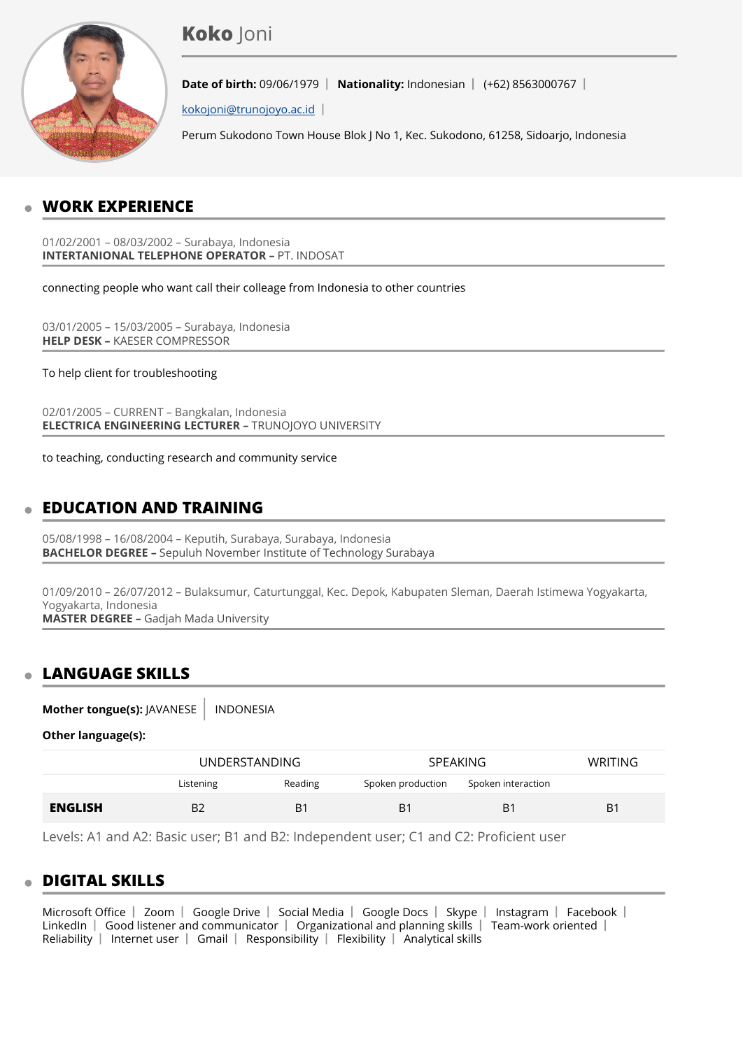# **Koko** Joni



**Date of birth:** 09/06/1979 | **Nationality:** Indonesian | (+62) 8563000767 |

[kokojoni@trunojoyo.ac.id](mailto:kokojoni@trunojoyo.ac.id) 

Perum Sukodono Town House Blok J No 1, Kec. Sukodono, 61258, Sidoarjo, Indonesia

# **WORK EXPERIENCE**

01/02/2001 – 08/03/2002 – Surabaya, Indonesia **INTERTANIONAL TELEPHONE OPERATOR –** PT. INDOSAT

connecting people who want call their colleage from Indonesia to other countries

03/01/2005 – 15/03/2005 – Surabaya, Indonesia **HELP DESK –** KAESER COMPRESSOR

To help client for troubleshooting

02/01/2005 – CURRENT – Bangkalan, Indonesia **ELECTRICA ENGINEERING LECTURER –** TRUNOJOYO UNIVERSITY

to teaching, conducting research and community service

# **EDUCATION AND TRAINING**

05/08/1998 – 16/08/2004 – Keputih, Surabaya, Surabaya, Indonesia **BACHELOR DEGREE –** Sepuluh November Institute of Technology Surabaya

01/09/2010 – 26/07/2012 – Bulaksumur, Caturtunggal, Kec. Depok, Kabupaten Sleman, Daerah Istimewa Yogyakarta, Yogyakarta, Indonesia **MASTER DEGREE –** Gadjah Mada University

## **LANGUAGE SKILLS**

**Mother tongue(s): JAVANESE | INDONESIA** 

**Other language(s):**

|                |                | UNDERSTANDING |                   | <b>SPEAKING</b>    |                |
|----------------|----------------|---------------|-------------------|--------------------|----------------|
|                | Listening      | Reading       | Spoken production | Spoken interaction |                |
| <b>ENGLISH</b> | B <sub>2</sub> | B1            | B <sub>1</sub>    | B <sub>1</sub>     | B <sub>1</sub> |

Levels: A1 and A2: Basic user; B1 and B2: Independent user; C1 and C2: Proficient user

## **DIGITAL SKILLS**

Microsoft Office | Zoom | Google Drive | Social Media | Google Docs | Skype | Instagram | Facebook | LinkedIn  $\vert$  Good listener and communicator  $\vert$  Organizational and planning skills  $\vert$  Team-work oriented  $\vert$ Reliability | Internet user | Gmail | Responsibility | Flexibility | Analytical skills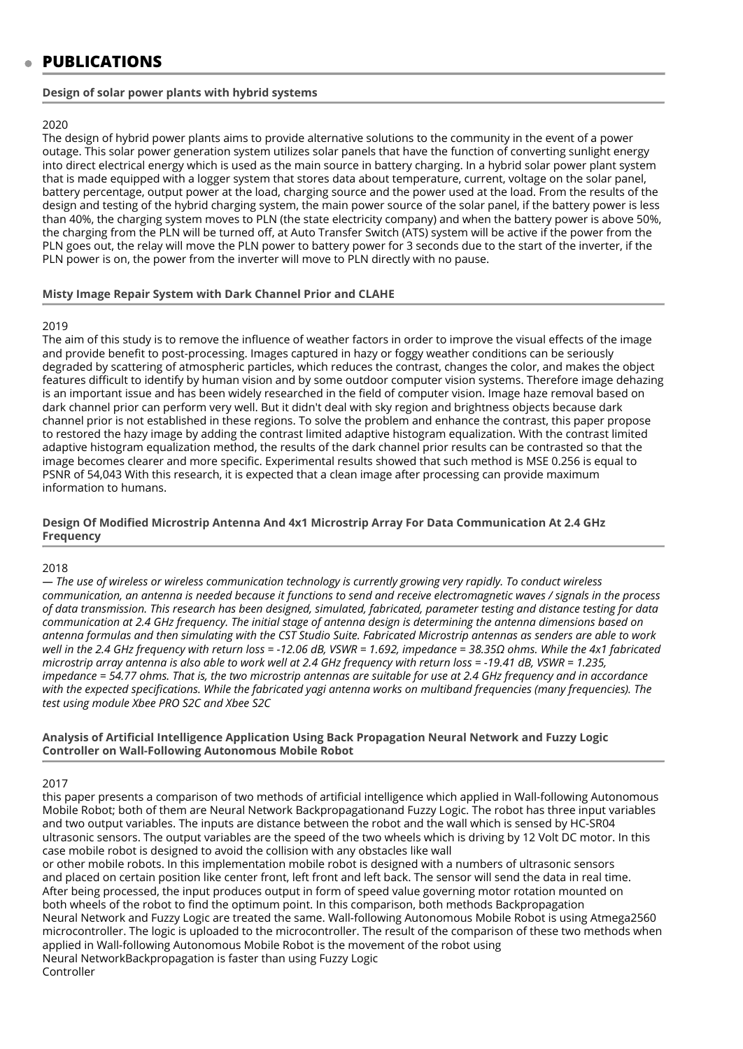### **PUBLICATIONS**

### **Design of solar power plants with hybrid systems**

#### 2020

The design of hybrid power plants aims to provide alternative solutions to the community in the event of a power outage. This solar power generation system utilizes solar panels that have the function of converting sunlight energy into direct electrical energy which is used as the main source in battery charging. In a hybrid solar power plant system that is made equipped with a logger system that stores data about temperature, current, voltage on the solar panel, battery percentage, output power at the load, charging source and the power used at the load. From the results of the design and testing of the hybrid charging system, the main power source of the solar panel, if the battery power is less than 40%, the charging system moves to PLN (the state electricity company) and when the battery power is above 50%, the charging from the PLN will be turned off, at Auto Transfer Switch (ATS) system will be active if the power from the PLN goes out, the relay will move the PLN power to battery power for 3 seconds due to the start of the inverter, if the PLN power is on, the power from the inverter will move to PLN directly with no pause.

#### **Misty Image Repair System with Dark Channel Prior and CLAHE**

#### 2019

The aim of this study is to remove the influence of weather factors in order to improve the visual effects of the image and provide benefit to post-processing. Images captured in hazy or foggy weather conditions can be seriously degraded by scattering of atmospheric particles, which reduces the contrast, changes the color, and makes the object features difficult to identify by human vision and by some outdoor computer vision systems. Therefore image dehazing is an important issue and has been widely researched in the field of computer vision. Image haze removal based on dark channel prior can perform very well. But it didn't deal with sky region and brightness objects because dark channel prior is not established in these regions. To solve the problem and enhance the contrast, this paper propose to restored the hazy image by adding the contrast limited adaptive histogram equalization. With the contrast limited adaptive histogram equalization method, the results of the dark channel prior results can be contrasted so that the image becomes clearer and more specific. Experimental results showed that such method is MSE 0.256 is equal to PSNR of 54,043 With this research, it is expected that a clean image after processing can provide maximum information to humans.

### **Design Of Modified Microstrip Antenna And 4x1 Microstrip Array For Data Communication At 2.4 GHz Frequency**

#### 2018

*— The use of wireless or wireless communication technology is currently growing very rapidly. To conduct wireless communication, an antenna is needed because it functions to send and receive electromagnetic waves / signals in the process of data transmission. This research has been designed, simulated, fabricated, parameter testing and distance testing for data communication at 2.4 GHz frequency. The initial stage of antenna design is determining the antenna dimensions based on antenna formulas and then simulating with the CST Studio Suite. Fabricated Microstrip antennas as senders are able to work well in the 2.4 GHz frequency with return loss = -12.06 dB, VSWR = 1.692, impedance = 38.35Ω ohms. While the 4x1 fabricated microstrip array antenna is also able to work well at 2.4 GHz frequency with return loss = -19.41 dB, VSWR = 1.235, impedance = 54.77 ohms. That is, the two microstrip antennas are suitable for use at 2.4 GHz frequency and in accordance with the expected specifications. While the fabricated yagi antenna works on multiband frequencies (many frequencies). The test using module Xbee PRO S2C and Xbee S2C*

#### **Analysis of Artificial Intelligence Application Using Back Propagation Neural Network and Fuzzy Logic Controller on Wall-Following Autonomous Mobile Robot**

#### 2017

this paper presents a comparison of two methods of artificial intelligence which applied in Wall-following Autonomous Mobile Robot; both of them are Neural Network Backpropagationand Fuzzy Logic. The robot has three input variables and two output variables. The inputs are distance between the robot and the wall which is sensed by HC-SR04 ultrasonic sensors. The output variables are the speed of the two wheels which is driving by 12 Volt DC motor. In this case mobile robot is designed to avoid the collision with any obstacles like wall

or other mobile robots. In this implementation mobile robot is designed with a numbers of ultrasonic sensors and placed on certain position like center front, left front and left back. The sensor will send the data in real time. After being processed, the input produces output in form of speed value governing motor rotation mounted on both wheels of the robot to find the optimum point. In this comparison, both methods Backpropagation Neural Network and Fuzzy Logic are treated the same. Wall-following Autonomous Mobile Robot is using Atmega2560 microcontroller. The logic is uploaded to the microcontroller. The result of the comparison of these two methods when applied in Wall-following Autonomous Mobile Robot is the movement of the robot using Neural NetworkBackpropagation is faster than using Fuzzy Logic Controller